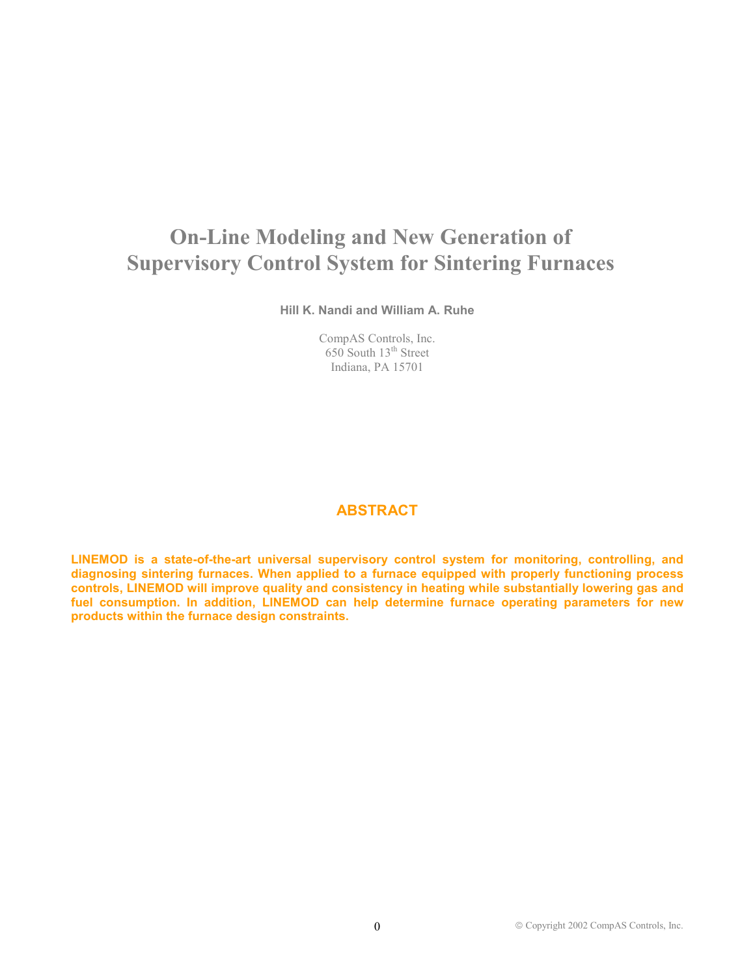# **On-Line Modeling and New Generation of Supervisory Control System for Sintering Furnaces**

**Hill K. Nandi and William A. Ruhe** 

CompAS Controls, Inc. 650 South 13<sup>th</sup> Street Indiana, PA 15701

## **ABSTRACT**

**LINEMOD is a state-of-the-art universal supervisory control system for monitoring, controlling, and diagnosing sintering furnaces. When applied to a furnace equipped with properly functioning process controls, LINEMOD will improve quality and consistency in heating while substantially lowering gas and fuel consumption. In addition, LINEMOD can help determine furnace operating parameters for new products within the furnace design constraints.**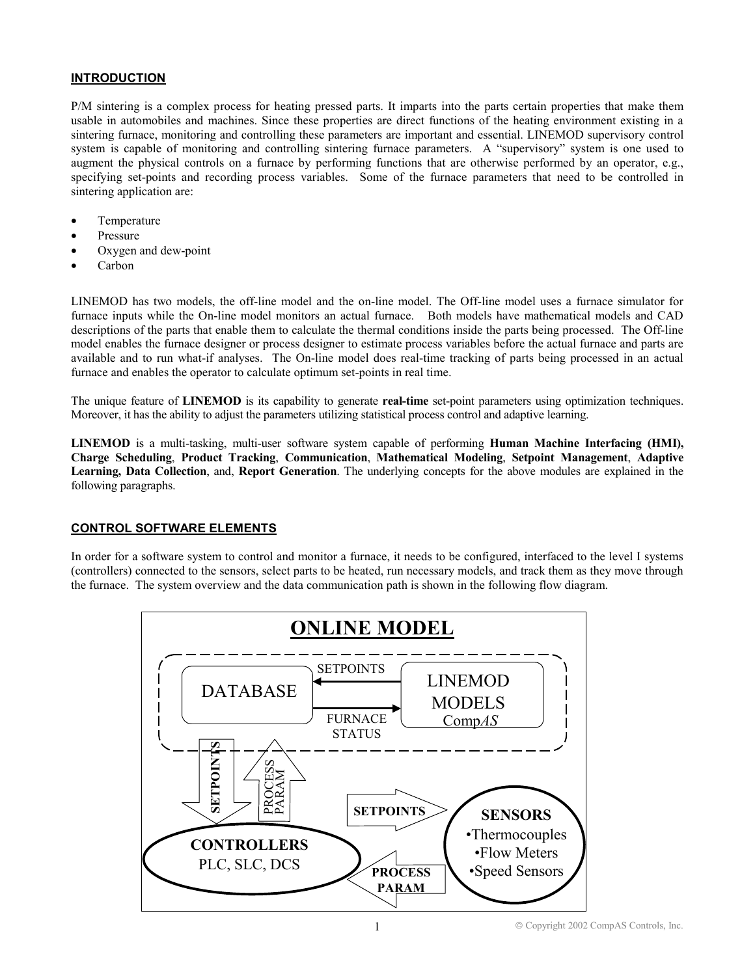## **INTRODUCTION**

P/M sintering is a complex process for heating pressed parts. It imparts into the parts certain properties that make them usable in automobiles and machines. Since these properties are direct functions of the heating environment existing in a sintering furnace, monitoring and controlling these parameters are important and essential. LINEMOD supervisory control system is capable of monitoring and controlling sintering furnace parameters. A "supervisory" system is one used to augment the physical controls on a furnace by performing functions that are otherwise performed by an operator, e.g., specifying set-points and recording process variables. Some of the furnace parameters that need to be controlled in sintering application are:

- Temperature
- Pressure
- Oxygen and dew-point
- Carbon

LINEMOD has two models, the off-line model and the on-line model. The Off-line model uses a furnace simulator for furnace inputs while the On-line model monitors an actual furnace. Both models have mathematical models and CAD descriptions of the parts that enable them to calculate the thermal conditions inside the parts being processed. The Off-line model enables the furnace designer or process designer to estimate process variables before the actual furnace and parts are available and to run what-if analyses. The On-line model does real-time tracking of parts being processed in an actual furnace and enables the operator to calculate optimum set-points in real time.

The unique feature of **LINEMOD** is its capability to generate **real-time** set-point parameters using optimization techniques. Moreover, it has the ability to adjust the parameters utilizing statistical process control and adaptive learning.

**LINEMOD** is a multi-tasking, multi-user software system capable of performing **Human Machine Interfacing (HMI), Charge Scheduling**, **Product Tracking**, **Communication**, **Mathematical Modeling**, **Setpoint Management**, **Adaptive Learning, Data Collection**, and, **Report Generation**. The underlying concepts for the above modules are explained in the following paragraphs.

## **CONTROL SOFTWARE ELEMENTS**

In order for a software system to control and monitor a furnace, it needs to be configured, interfaced to the level I systems (controllers) connected to the sensors, select parts to be heated, run necessary models, and track them as they move through the furnace. The system overview and the data communication path is shown in the following flow diagram.

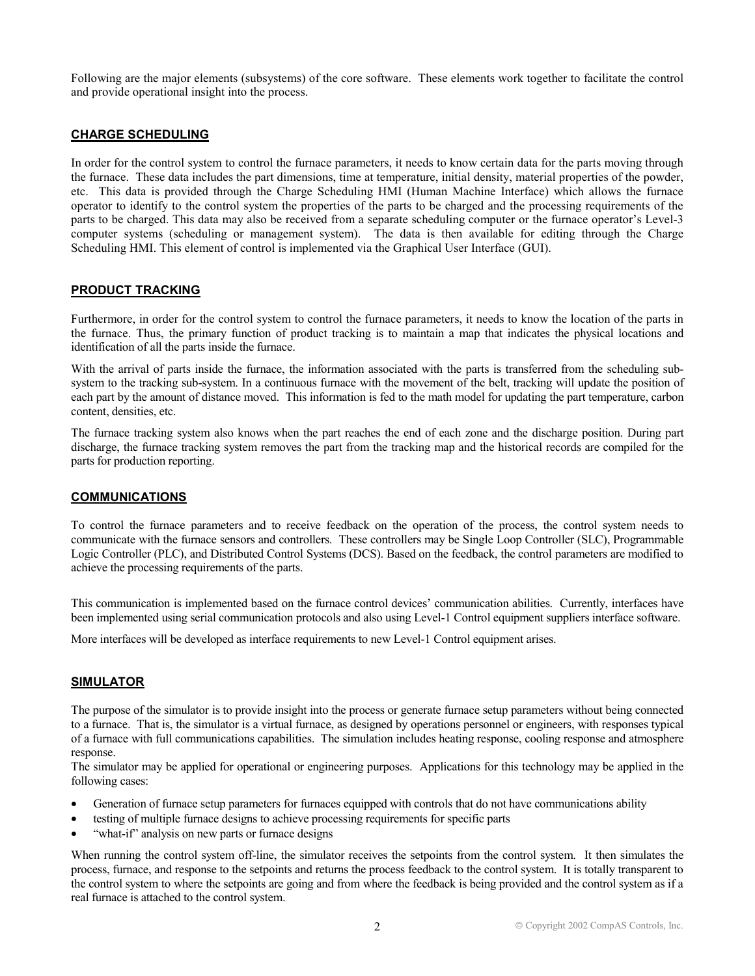Following are the major elements (subsystems) of the core software. These elements work together to facilitate the control and provide operational insight into the process.

#### **CHARGE SCHEDULING**

In order for the control system to control the furnace parameters, it needs to know certain data for the parts moving through the furnace. These data includes the part dimensions, time at temperature, initial density, material properties of the powder, etc. This data is provided through the Charge Scheduling HMI (Human Machine Interface) which allows the furnace operator to identify to the control system the properties of the parts to be charged and the processing requirements of the parts to be charged. This data may also be received from a separate scheduling computer or the furnace operator's Level-3 computer systems (scheduling or management system). The data is then available for editing through the Charge Scheduling HMI. This element of control is implemented via the Graphical User Interface (GUI).

## **PRODUCT TRACKING**

Furthermore, in order for the control system to control the furnace parameters, it needs to know the location of the parts in the furnace. Thus, the primary function of product tracking is to maintain a map that indicates the physical locations and identification of all the parts inside the furnace.

With the arrival of parts inside the furnace, the information associated with the parts is transferred from the scheduling subsystem to the tracking sub-system. In a continuous furnace with the movement of the belt, tracking will update the position of each part by the amount of distance moved. This information is fed to the math model for updating the part temperature, carbon content, densities, etc.

The furnace tracking system also knows when the part reaches the end of each zone and the discharge position. During part discharge, the furnace tracking system removes the part from the tracking map and the historical records are compiled for the parts for production reporting.

#### **COMMUNICATIONS**

To control the furnace parameters and to receive feedback on the operation of the process, the control system needs to communicate with the furnace sensors and controllers. These controllers may be Single Loop Controller (SLC), Programmable Logic Controller (PLC), and Distributed Control Systems (DCS). Based on the feedback, the control parameters are modified to achieve the processing requirements of the parts.

This communication is implemented based on the furnace control devices' communication abilities. Currently, interfaces have been implemented using serial communication protocols and also using Level-1 Control equipment suppliers interface software.

More interfaces will be developed as interface requirements to new Level-1 Control equipment arises.

## **SIMULATOR**

The purpose of the simulator is to provide insight into the process or generate furnace setup parameters without being connected to a furnace. That is, the simulator is a virtual furnace, as designed by operations personnel or engineers, with responses typical of a furnace with full communications capabilities. The simulation includes heating response, cooling response and atmosphere response.

The simulator may be applied for operational or engineering purposes. Applications for this technology may be applied in the following cases:

- Generation of furnace setup parameters for furnaces equipped with controls that do not have communications ability
- testing of multiple furnace designs to achieve processing requirements for specific parts
- "what-if" analysis on new parts or furnace designs

When running the control system off-line, the simulator receives the setpoints from the control system. It then simulates the process, furnace, and response to the setpoints and returns the process feedback to the control system. It is totally transparent to the control system to where the setpoints are going and from where the feedback is being provided and the control system as if a real furnace is attached to the control system.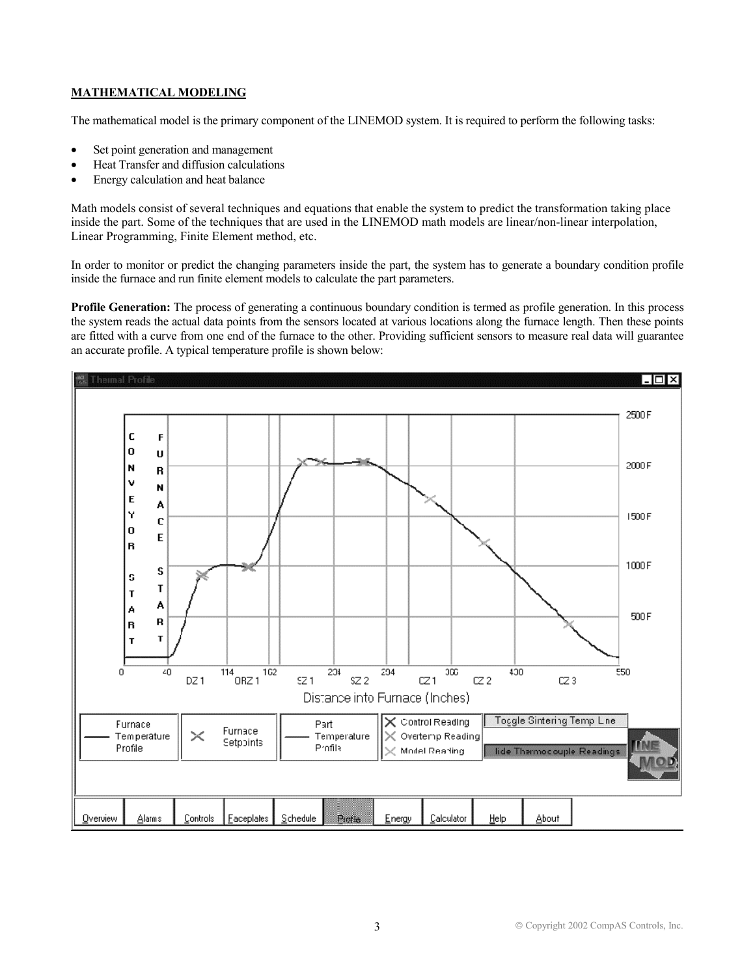## **MATHEMATICAL MODELING**

The mathematical model is the primary component of the LINEMOD system. It is required to perform the following tasks:

- Set point generation and management
- Heat Transfer and diffusion calculations
- Energy calculation and heat balance

Math models consist of several techniques and equations that enable the system to predict the transformation taking place inside the part. Some of the techniques that are used in the LINEMOD math models are linear/non-linear interpolation, Linear Programming, Finite Element method, etc.

In order to monitor or predict the changing parameters inside the part, the system has to generate a boundary condition profile inside the furnace and run finite element models to calculate the part parameters.

**Profile Generation:** The process of generating a continuous boundary condition is termed as profile generation. In this process the system reads the actual data points from the sensors located at various locations along the furnace length. Then these points are fitted with a curve from one end of the furnace to the other. Providing sufficient sensors to measure real data will guarantee an accurate profile. A typical temperature profile is shown below:

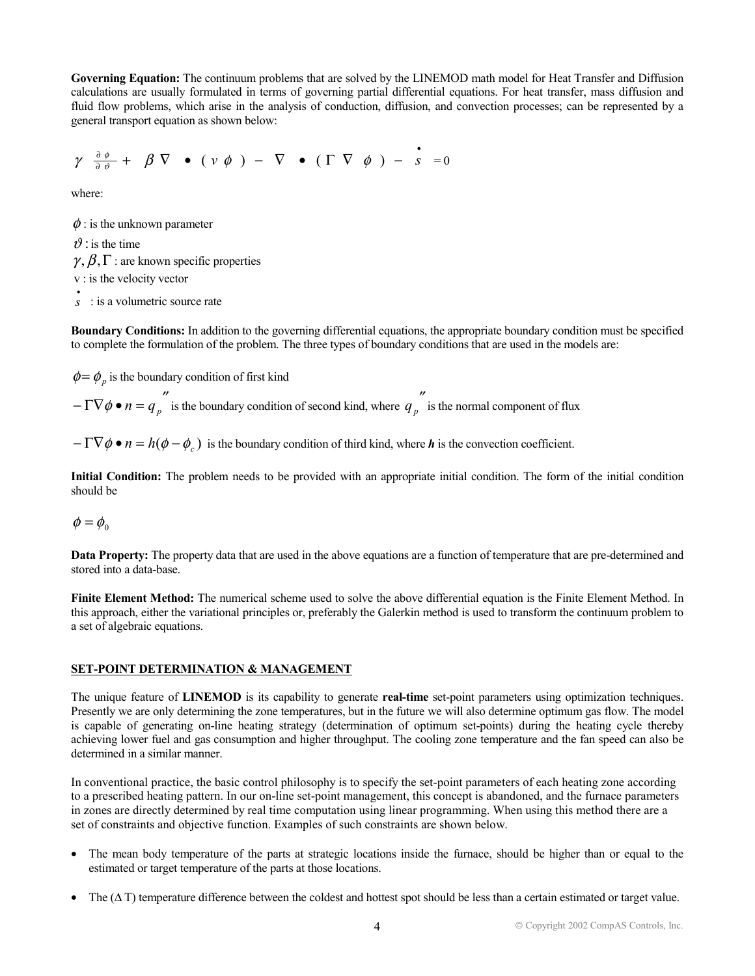**Governing Equation:** The continuum problems that are solved by the LINEMOD math model for Heat Transfer and Diffusion calculations are usually formulated in terms of governing partial differential equations. For heat transfer, mass diffusion and fluid flow problems, which arise in the analysis of conduction, diffusion, and convection processes; can be represented by a general transport equation as shown below:

$$
\gamma \frac{\partial \phi}{\partial \vartheta} + \beta \nabla \bullet (\nu \phi) - \nabla \bullet (\Gamma \nabla \phi) - \dot{s} = 0
$$

where:

 $\phi$ : is the unknown parameter

 $\vartheta$  : is the time  $\gamma$ ,  $\beta$ ,  $\Gamma$  : are known specific properties v : is the velocity vector

• *s* : is a volumetric source rate

**Boundary Conditions:** In addition to the governing differential equations, the appropriate boundary condition must be specified to complete the formulation of the problem. The three types of boundary conditions that are used in the models are:

 $\phi = \phi_p$  is the boundary condition of first kind

 $-\Gamma \nabla \phi \bullet n = q_p''$  is the boundary condition of second kind, where  $q_p''$  is the normal component of flux

 $-\Gamma \nabla \phi \bullet n = h(\phi - \phi)$  is the boundary condition of third kind, where *h* is the convection coefficient.

**Initial Condition:** The problem needs to be provided with an appropriate initial condition. The form of the initial condition should be

 $\phi = \phi_0$ 

**Data Property:** The property data that are used in the above equations are a function of temperature that are pre-determined and stored into a data-base.

**Finite Element Method:** The numerical scheme used to solve the above differential equation is the Finite Element Method. In this approach, either the variational principles or, preferably the Galerkin method is used to transform the continuum problem to a set of algebraic equations.

#### **SET-POINT DETERMINATION & MANAGEMENT**

The unique feature of **LINEMOD** is its capability to generate **real-time** set-point parameters using optimization techniques. Presently we are only determining the zone temperatures, but in the future we will also determine optimum gas flow. The model is capable of generating on-line heating strategy (determination of optimum set-points) during the heating cycle thereby achieving lower fuel and gas consumption and higher throughput. The cooling zone temperature and the fan speed can also be determined in a similar manner.

In conventional practice, the basic control philosophy is to specify the set-point parameters of each heating zone according to a prescribed heating pattern. In our on-line set-point management, this concept is abandoned, and the furnace parameters in zones are directly determined by real time computation using linear programming. When using this method there are a set of constraints and objective function. Examples of such constraints are shown below.

- The mean body temperature of the parts at strategic locations inside the furnace, should be higher than or equal to the estimated or target temperature of the parts at those locations.
- The  $(\Delta T)$  temperature difference between the coldest and hottest spot should be less than a certain estimated or target value.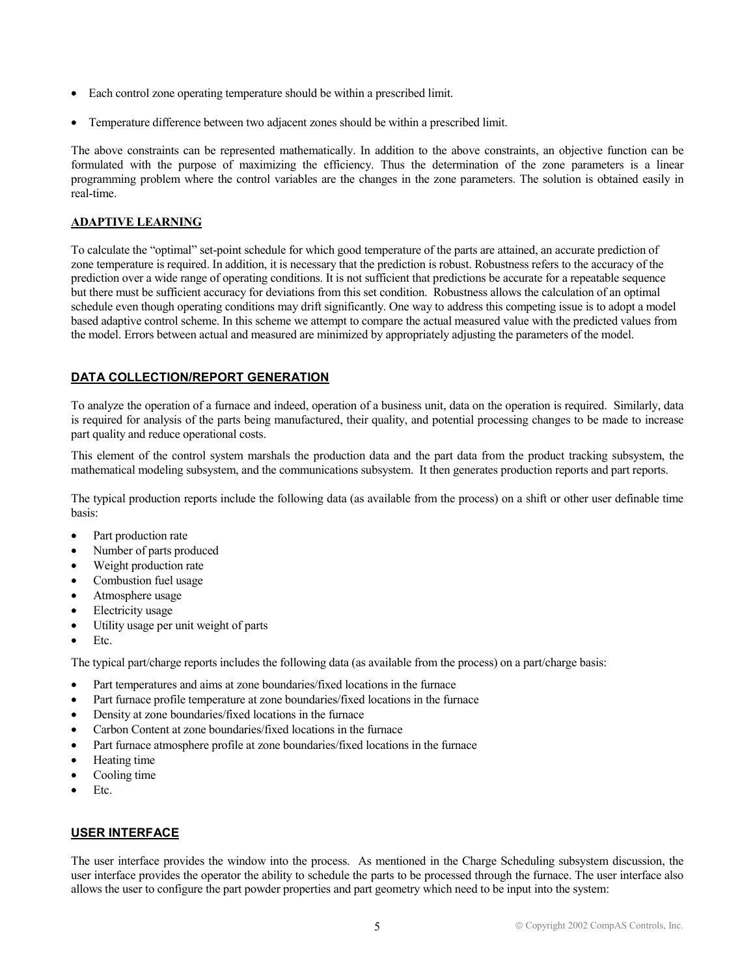- Each control zone operating temperature should be within a prescribed limit.
- Temperature difference between two adjacent zones should be within a prescribed limit.

The above constraints can be represented mathematically. In addition to the above constraints, an objective function can be formulated with the purpose of maximizing the efficiency. Thus the determination of the zone parameters is a linear programming problem where the control variables are the changes in the zone parameters. The solution is obtained easily in real-time.

#### **ADAPTIVE LEARNING**

To calculate the "optimal" set-point schedule for which good temperature of the parts are attained, an accurate prediction of zone temperature is required. In addition, it is necessary that the prediction is robust. Robustness refers to the accuracy of the prediction over a wide range of operating conditions. It is not sufficient that predictions be accurate for a repeatable sequence but there must be sufficient accuracy for deviations from this set condition. Robustness allows the calculation of an optimal schedule even though operating conditions may drift significantly. One way to address this competing issue is to adopt a model based adaptive control scheme. In this scheme we attempt to compare the actual measured value with the predicted values from the model. Errors between actual and measured are minimized by appropriately adjusting the parameters of the model.

## **DATA COLLECTION/REPORT GENERATION**

To analyze the operation of a furnace and indeed, operation of a business unit, data on the operation is required. Similarly, data is required for analysis of the parts being manufactured, their quality, and potential processing changes to be made to increase part quality and reduce operational costs.

This element of the control system marshals the production data and the part data from the product tracking subsystem, the mathematical modeling subsystem, and the communications subsystem. It then generates production reports and part reports.

The typical production reports include the following data (as available from the process) on a shift or other user definable time basis:

- Part production rate
- Number of parts produced
- Weight production rate
- Combustion fuel usage
- Atmosphere usage
- Electricity usage
- Utility usage per unit weight of parts
- Etc.

The typical part/charge reports includes the following data (as available from the process) on a part/charge basis:

- Part temperatures and aims at zone boundaries/fixed locations in the furnace
- Part furnace profile temperature at zone boundaries/fixed locations in the furnace
- Density at zone boundaries/fixed locations in the furnace
- Carbon Content at zone boundaries/fixed locations in the furnace
- Part furnace atmosphere profile at zone boundaries/fixed locations in the furnace
- Heating time
- Cooling time
- Etc.

## **USER INTERFACE**

The user interface provides the window into the process. As mentioned in the Charge Scheduling subsystem discussion, the user interface provides the operator the ability to schedule the parts to be processed through the furnace. The user interface also allows the user to configure the part powder properties and part geometry which need to be input into the system: